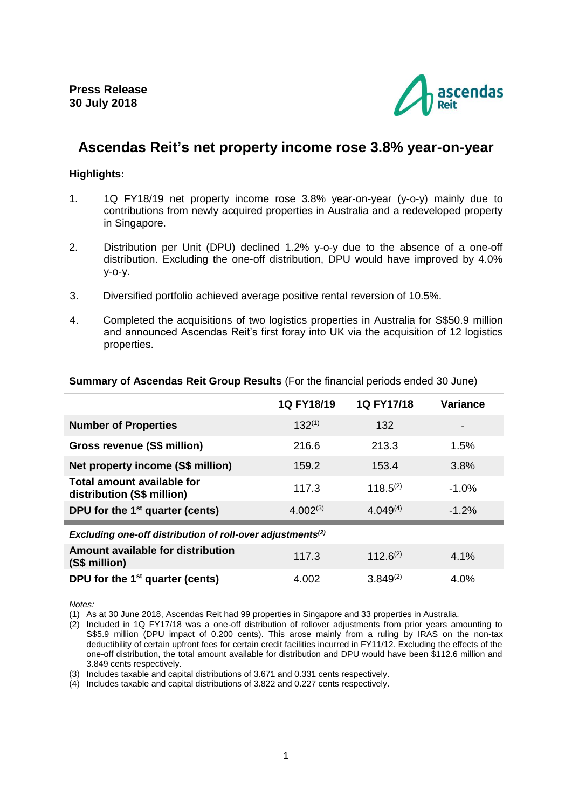

# **Ascendas Reit's net property income rose 3.8% year-on-year**

## **Highlights:**

- 1. 1Q FY18/19 net property income rose 3.8% year-on-year (y-o-y) mainly due to contributions from newly acquired properties in Australia and a redeveloped property in Singapore.
- 2. Distribution per Unit (DPU) declined 1.2% y-o-y due to the absence of a one-off distribution. Excluding the one-off distribution, DPU would have improved by 4.0% y-o-y.
- 3. Diversified portfolio achieved average positive rental reversion of 10.5%.
- 4. Completed the acquisitions of two logistics properties in Australia for S\$50.9 million and announced Ascendas Reit's first foray into UK via the acquisition of 12 logistics properties.

|                                                                        | 1Q FY18/19    | 1Q FY17/18    | <b>Variance</b> |
|------------------------------------------------------------------------|---------------|---------------|-----------------|
| <b>Number of Properties</b>                                            | $132^{(1)}$   | 132           |                 |
| Gross revenue (S\$ million)                                            | 216.6         | 213.3         | 1.5%            |
| Net property income (S\$ million)                                      | 159.2         | 153.4         | 3.8%            |
| Total amount available for<br>distribution (S\$ million)               | 117.3         | $118.5^{(2)}$ | $-1.0%$         |
| DPU for the 1 <sup>st</sup> quarter (cents)                            | $4.002^{(3)}$ | $4.049^{(4)}$ | $-1.2%$         |
| Excluding one-off distribution of roll-over adjustments <sup>(2)</sup> |               |               |                 |
| Amount available for distribution<br>(S\$ million)                     | 117.3         | $112.6^{(2)}$ | 4.1%            |
| DPU for the 1 <sup>st</sup> quarter (cents)                            | 4.002         | $3.849^{(2)}$ | 4.0%            |

## **Summary of Ascendas Reit Group Results** (For the financial periods ended 30 June)

*Notes:* 

(1) As at 30 June 2018, Ascendas Reit had 99 properties in Singapore and 33 properties in Australia.

(2) Included in 1Q FY17/18 was a one-off distribution of rollover adjustments from prior years amounting to S\$5.9 million (DPU impact of 0.200 cents). This arose mainly from a ruling by IRAS on the non-tax deductibility of certain upfront fees for certain credit facilities incurred in FY11/12. Excluding the effects of the one-off distribution, the total amount available for distribution and DPU would have been \$112.6 million and 3.849 cents respectively.

(3) Includes taxable and capital distributions of 3.671 and 0.331 cents respectively.

(4) Includes taxable and capital distributions of 3.822 and 0.227 cents respectively.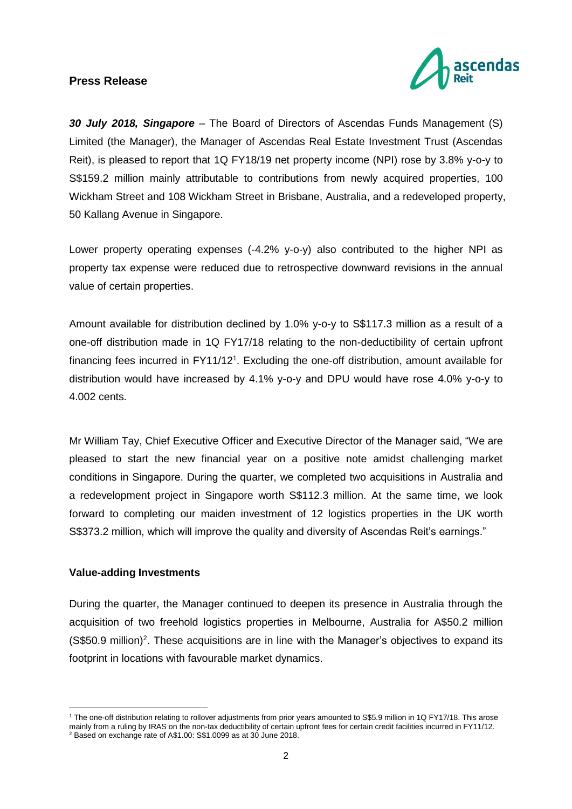

*30 July 2018, Singapore* – The Board of Directors of Ascendas Funds Management (S) Limited (the Manager), the Manager of Ascendas Real Estate Investment Trust (Ascendas Reit), is pleased to report that 1Q FY18/19 net property income (NPI) rose by 3.8% y-o-y to S\$159.2 million mainly attributable to contributions from newly acquired properties, 100 Wickham Street and 108 Wickham Street in Brisbane, Australia, and a redeveloped property, 50 Kallang Avenue in Singapore.

Lower property operating expenses (-4.2% y-o-y) also contributed to the higher NPI as property tax expense were reduced due to retrospective downward revisions in the annual value of certain properties.

Amount available for distribution declined by 1.0% y-o-y to S\$117.3 million as a result of a one-off distribution made in 1Q FY17/18 relating to the non-deductibility of certain upfront financing fees incurred in FY11/12<sup>1</sup>. Excluding the one-off distribution, amount available for distribution would have increased by 4.1% y-o-y and DPU would have rose 4.0% y-o-y to 4.002 cents.

Mr William Tay, Chief Executive Officer and Executive Director of the Manager said, "We are pleased to start the new financial year on a positive note amidst challenging market conditions in Singapore. During the quarter, we completed two acquisitions in Australia and a redevelopment project in Singapore worth S\$112.3 million. At the same time, we look forward to completing our maiden investment of 12 logistics properties in the UK worth S\$373.2 million, which will improve the quality and diversity of Ascendas Reit's earnings."

## **Value-adding Investments**

<u>.</u>

During the quarter, the Manager continued to deepen its presence in Australia through the acquisition of two freehold logistics properties in Melbourne, Australia for A\$50.2 million (S\$50.9 million) 2 . These acquisitions are in line with the Manager's objectives to expand its footprint in locations with favourable market dynamics.

<sup>1</sup> The one-off distribution relating to rollover adjustments from prior years amounted to S\$5.9 million in 1Q FY17/18. This arose mainly from a ruling by IRAS on the non-tax deductibility of certain upfront fees for certain credit facilities incurred in FY11/12. <sup>2</sup> Based on exchange rate of A\$1.00: S\$1.0099 as at 30 June 2018.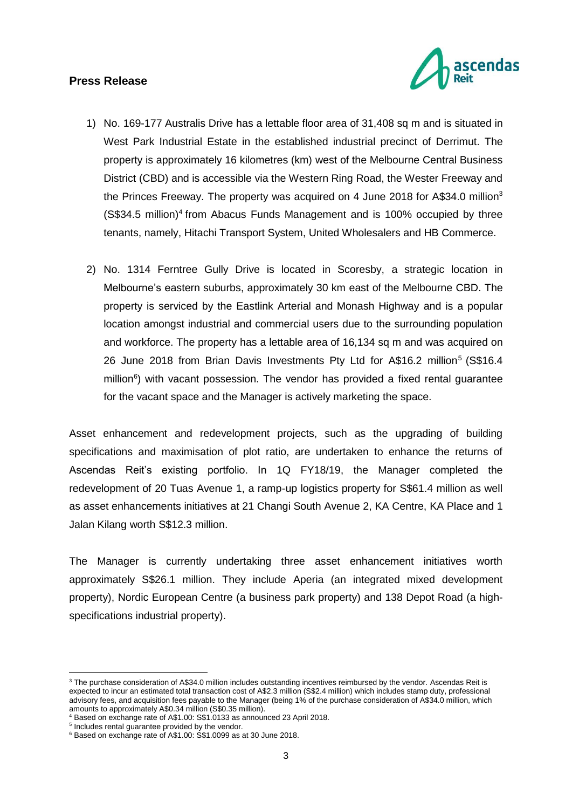

- 1) No. 169-177 Australis Drive has a lettable floor area of 31,408 sq m and is situated in West Park Industrial Estate in the established industrial precinct of Derrimut. The property is approximately 16 kilometres (km) west of the Melbourne Central Business District (CBD) and is accessible via the Western Ring Road, the Wester Freeway and the Princes Freeway. The property was acquired on 4 June 2018 for A\$34.0 million<sup>3</sup> (S\$34.5 million)<sup>4</sup> from Abacus Funds Management and is 100% occupied by three tenants, namely, Hitachi Transport System, United Wholesalers and HB Commerce.
- 2) No. 1314 Ferntree Gully Drive is located in Scoresby, a strategic location in Melbourne's eastern suburbs, approximately 30 km east of the Melbourne CBD. The property is serviced by the Eastlink Arterial and Monash Highway and is a popular location amongst industrial and commercial users due to the surrounding population and workforce. The property has a lettable area of 16,134 sq m and was acquired on 26 June 2018 from Brian Davis Investments Pty Ltd for A\$16.2 million<sup>5</sup> (S\$16.4 million<sup>6</sup>) with vacant possession. The vendor has provided a fixed rental guarantee for the vacant space and the Manager is actively marketing the space.

Asset enhancement and redevelopment projects, such as the upgrading of building specifications and maximisation of plot ratio, are undertaken to enhance the returns of Ascendas Reit's existing portfolio. In 1Q FY18/19, the Manager completed the redevelopment of 20 Tuas Avenue 1, a ramp-up logistics property for S\$61.4 million as well as asset enhancements initiatives at 21 Changi South Avenue 2, KA Centre, KA Place and 1 Jalan Kilang worth S\$12.3 million.

The Manager is currently undertaking three asset enhancement initiatives worth approximately S\$26.1 million. They include Aperia (an integrated mixed development property), Nordic European Centre (a business park property) and 138 Depot Road (a highspecifications industrial property).

<u>.</u>

<sup>&</sup>lt;sup>3</sup> The purchase consideration of A\$34.0 million includes outstanding incentives reimbursed by the vendor. Ascendas Reit is expected to incur an estimated total transaction cost of A\$2.3 million (S\$2.4 million) which includes stamp duty, professional advisory fees, and acquisition fees payable to the Manager (being 1% of the purchase consideration of A\$34.0 million, which amounts to approximately A\$0.34 million (S\$0.35 million).

<sup>4</sup> Based on exchange rate of A\$1.00: S\$1.0133 as announced 23 April 2018.

<sup>5</sup> Includes rental guarantee provided by the vendor.

<sup>6</sup> Based on exchange rate of A\$1.00: S\$1.0099 as at 30 June 2018.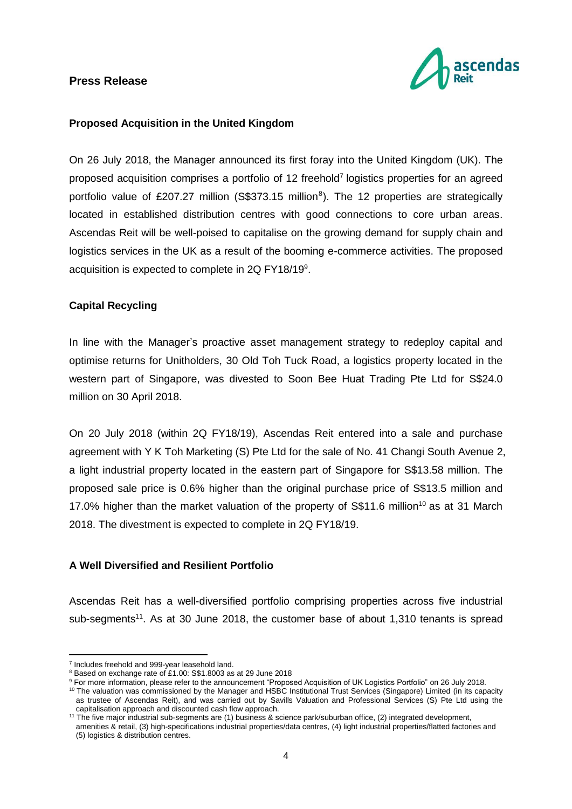

### **Proposed Acquisition in the United Kingdom**

On 26 July 2018, the Manager announced its first foray into the United Kingdom (UK). The proposed acquisition comprises a portfolio of 12 freehold<sup>7</sup> logistics properties for an agreed portfolio value of £207.27 million (S\$373.15 million<sup>8</sup>). The 12 properties are strategically located in established distribution centres with good connections to core urban areas. Ascendas Reit will be well-poised to capitalise on the growing demand for supply chain and logistics services in the UK as a result of the booming e-commerce activities. The proposed acquisition is expected to complete in 2Q FY18/19<sup>9</sup>.

## **Capital Recycling**

In line with the Manager's proactive asset management strategy to redeploy capital and optimise returns for Unitholders, 30 Old Toh Tuck Road, a logistics property located in the western part of Singapore, was divested to Soon Bee Huat Trading Pte Ltd for S\$24.0 million on 30 April 2018.

On 20 July 2018 (within 2Q FY18/19), Ascendas Reit entered into a sale and purchase agreement with Y K Toh Marketing (S) Pte Ltd for the sale of No. 41 Changi South Avenue 2, a light industrial property located in the eastern part of Singapore for S\$13.58 million. The proposed sale price is 0.6% higher than the original purchase price of S\$13.5 million and 17.0% higher than the market valuation of the property of S\$11.6 million<sup>10</sup> as at 31 March 2018. The divestment is expected to complete in 2Q FY18/19.

### **A Well Diversified and Resilient Portfolio**

Ascendas Reit has a well-diversified portfolio comprising properties across five industrial sub-segments<sup>11</sup>. As at 30 June 2018, the customer base of about 1,310 tenants is spread

1

<sup>&</sup>lt;sup>7</sup> Includes freehold and 999-year leasehold land.

<sup>8</sup> Based on exchange rate of £1.00: S\$1.8003 as at 29 June 2018

<sup>9</sup> For more information, please refer to the announcement "Proposed Acquisition of UK Logistics Portfolio" on 26 July 2018.

<sup>10</sup> The valuation was commissioned by the Manager and HSBC Institutional Trust Services (Singapore) Limited (in its capacity as trustee of Ascendas Reit), and was carried out by Savills Valuation and Professional Services (S) Pte Ltd using the capitalisation approach and discounted cash flow approach.

<sup>&</sup>lt;sup>11</sup> The five major industrial sub-segments are (1) business & science park/suburban office, (2) integrated development, amenities & retail, (3) high-specifications industrial properties/data centres, (4) light industrial properties/flatted factories and (5) logistics & distribution centres.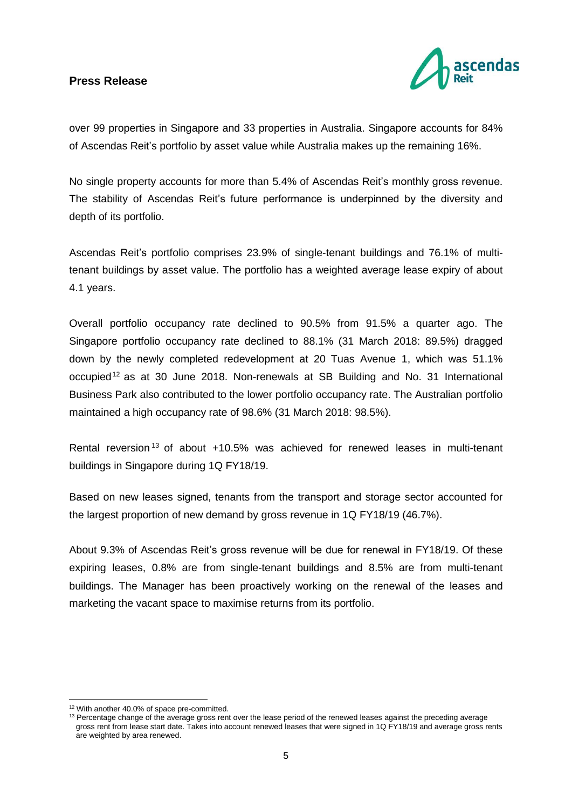

over 99 properties in Singapore and 33 properties in Australia. Singapore accounts for 84% of Ascendas Reit's portfolio by asset value while Australia makes up the remaining 16%.

No single property accounts for more than 5.4% of Ascendas Reit's monthly gross revenue. The stability of Ascendas Reit's future performance is underpinned by the diversity and depth of its portfolio.

Ascendas Reit's portfolio comprises 23.9% of single-tenant buildings and 76.1% of multitenant buildings by asset value. The portfolio has a weighted average lease expiry of about 4.1 years.

Overall portfolio occupancy rate declined to 90.5% from 91.5% a quarter ago. The Singapore portfolio occupancy rate declined to 88.1% (31 March 2018: 89.5%) dragged down by the newly completed redevelopment at 20 Tuas Avenue 1, which was 51.1% occupied<sup>12</sup> as at 30 June 2018. Non-renewals at SB Building and No. 31 International Business Park also contributed to the lower portfolio occupancy rate. The Australian portfolio maintained a high occupancy rate of 98.6% (31 March 2018: 98.5%).

Rental reversion <sup>13</sup> of about +10.5% was achieved for renewed leases in multi-tenant buildings in Singapore during 1Q FY18/19.

Based on new leases signed, tenants from the transport and storage sector accounted for the largest proportion of new demand by gross revenue in 1Q FY18/19 (46.7%).

About 9.3% of Ascendas Reit's gross revenue will be due for renewal in FY18/19. Of these expiring leases, 0.8% are from single-tenant buildings and 8.5% are from multi-tenant buildings. The Manager has been proactively working on the renewal of the leases and marketing the vacant space to maximise returns from its portfolio.

1

<sup>&</sup>lt;sup>12</sup> With another 40.0% of space pre-committed.

<sup>&</sup>lt;sup>13</sup> Percentage change of the average gross rent over the lease period of the renewed leases against the preceding average gross rent from lease start date. Takes into account renewed leases that were signed in 1Q FY18/19 and average gross rents are weighted by area renewed.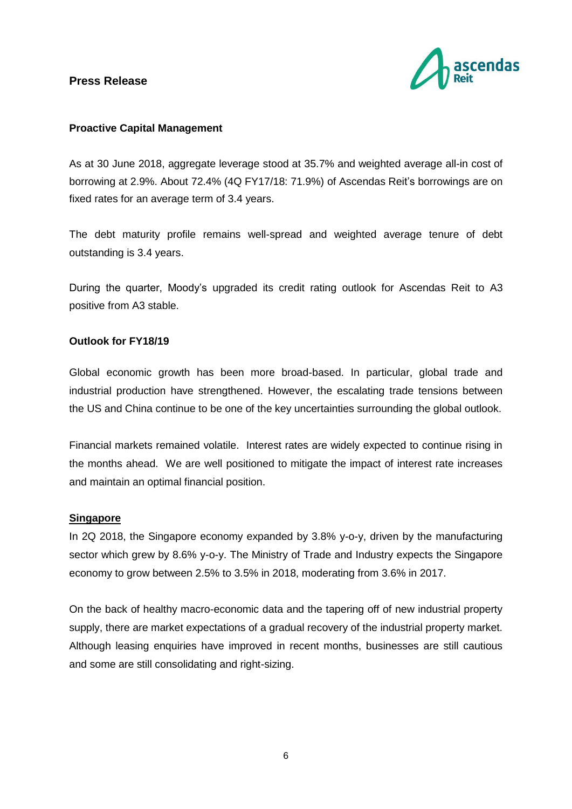

#### **Proactive Capital Management**

As at 30 June 2018, aggregate leverage stood at 35.7% and weighted average all-in cost of borrowing at 2.9%. About 72.4% (4Q FY17/18: 71.9%) of Ascendas Reit's borrowings are on fixed rates for an average term of 3.4 years.

The debt maturity profile remains well-spread and weighted average tenure of debt outstanding is 3.4 years.

During the quarter, Moody's upgraded its credit rating outlook for Ascendas Reit to A3 positive from A3 stable.

## **Outlook for FY18/19**

Global economic growth has been more broad-based. In particular, global trade and industrial production have strengthened. However, the escalating trade tensions between the US and China continue to be one of the key uncertainties surrounding the global outlook.

Financial markets remained volatile. Interest rates are widely expected to continue rising in the months ahead. We are well positioned to mitigate the impact of interest rate increases and maintain an optimal financial position.

#### **Singapore**

In 2Q 2018, the Singapore economy expanded by 3.8% y-o-y, driven by the manufacturing sector which grew by 8.6% y-o-y. The Ministry of Trade and Industry expects the Singapore economy to grow between 2.5% to 3.5% in 2018, moderating from 3.6% in 2017.

On the back of healthy macro-economic data and the tapering off of new industrial property supply, there are market expectations of a gradual recovery of the industrial property market. Although leasing enquiries have improved in recent months, businesses are still cautious and some are still consolidating and right-sizing.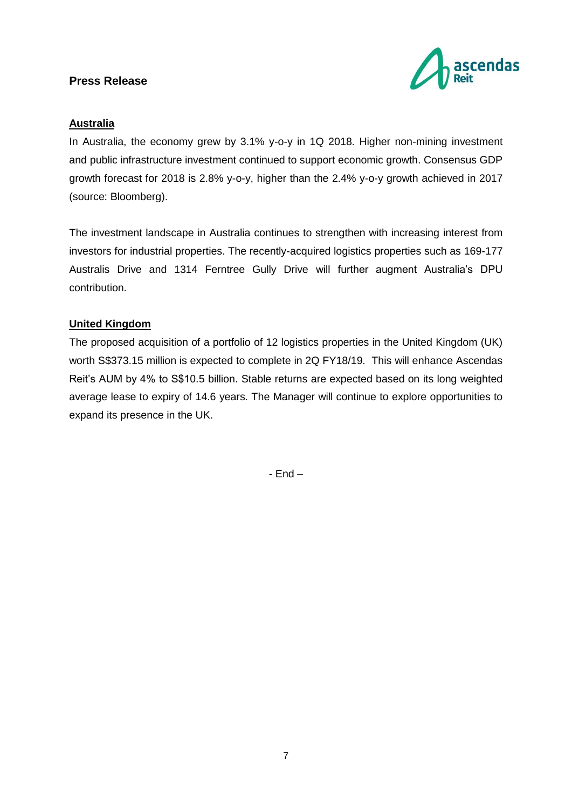

## **Australia**

In Australia, the economy grew by 3.1% y-o-y in 1Q 2018. Higher non-mining investment and public infrastructure investment continued to support economic growth. Consensus GDP growth forecast for 2018 is 2.8% y-o-y, higher than the 2.4% y-o-y growth achieved in 2017 (source: Bloomberg).

The investment landscape in Australia continues to strengthen with increasing interest from investors for industrial properties. The recently-acquired logistics properties such as 169-177 Australis Drive and 1314 Ferntree Gully Drive will further augment Australia's DPU contribution.

## **United Kingdom**

The proposed acquisition of a portfolio of 12 logistics properties in the United Kingdom (UK) worth S\$373.15 million is expected to complete in 2Q FY18/19. This will enhance Ascendas Reit's AUM by 4% to S\$10.5 billion. Stable returns are expected based on its long weighted average lease to expiry of 14.6 years. The Manager will continue to explore opportunities to expand its presence in the UK.

- End –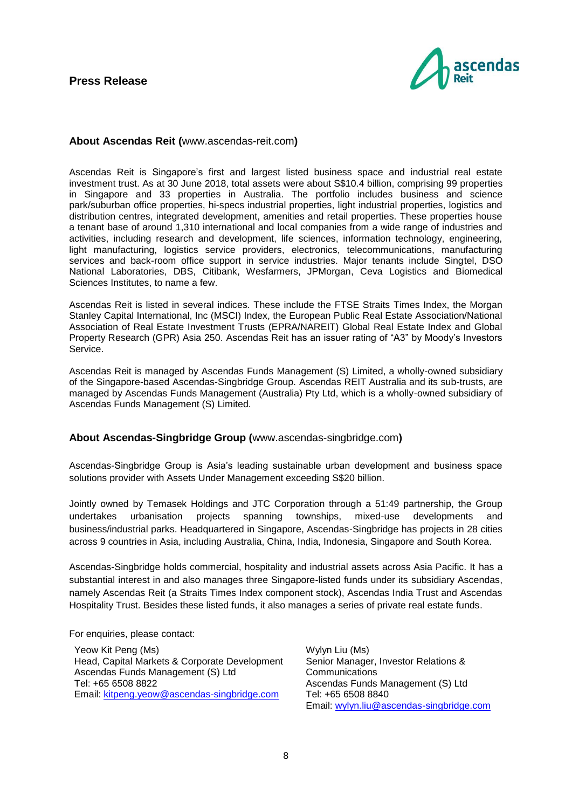

#### **About Ascendas Reit (**[www.ascendas-reit.com](http://www.ascendas-reit.com/)**)**

Ascendas Reit is Singapore's first and largest listed business space and industrial real estate investment trust. As at 30 June 2018, total assets were about S\$10.4 billion, comprising 99 properties in Singapore and 33 properties in Australia. The portfolio includes business and science park/suburban office properties, hi-specs industrial properties, light industrial properties, logistics and distribution centres, integrated development, amenities and retail properties. These properties house a tenant base of around 1,310 international and local companies from a wide range of industries and activities, including research and development, life sciences, information technology, engineering, light manufacturing, logistics service providers, electronics, telecommunications, manufacturing services and back-room office support in service industries. Major tenants include Singtel, DSO National Laboratories, DBS, Citibank, Wesfarmers, JPMorgan, Ceva Logistics and Biomedical Sciences Institutes, to name a few.

Ascendas Reit is listed in several indices. These include the FTSE Straits Times Index, the Morgan Stanley Capital International, Inc (MSCI) Index, the European Public Real Estate Association/National Association of Real Estate Investment Trusts (EPRA/NAREIT) Global Real Estate Index and Global Property Research (GPR) Asia 250. Ascendas Reit has an issuer rating of "A3" by Moody's Investors Service.

Ascendas Reit is managed by Ascendas Funds Management (S) Limited, a wholly-owned subsidiary of the Singapore-based Ascendas-Singbridge Group. Ascendas REIT Australia and its sub-trusts, are managed by Ascendas Funds Management (Australia) Pty Ltd, which is a wholly-owned subsidiary of Ascendas Funds Management (S) Limited.

#### **About Ascendas-Singbridge Group (**[www.ascendas-singbridge.com](http://www.ascendas-singbridge.com/)**)**

Ascendas-Singbridge Group is Asia's leading sustainable urban development and business space solutions provider with Assets Under Management exceeding S\$20 billion.

Jointly owned by Temasek Holdings and JTC Corporation through a 51:49 partnership, the Group undertakes urbanisation projects spanning townships, mixed-use developments and business/industrial parks. Headquartered in Singapore, Ascendas-Singbridge has projects in 28 cities across 9 countries in Asia, including Australia, China, India, Indonesia, Singapore and South Korea.

Ascendas-Singbridge holds commercial, hospitality and industrial assets across Asia Pacific. It has a substantial interest in and also manages three Singapore-listed funds under its subsidiary Ascendas, namely Ascendas Reit (a Straits Times Index component stock), Ascendas India Trust and Ascendas Hospitality Trust. Besides these listed funds, it also manages a series of private real estate funds.

For enquiries, please contact:

Yeow Kit Peng (Ms) Head, Capital Markets & Corporate Development Ascendas Funds Management (S) Ltd Tel: +65 6508 8822 Email: [kitpeng.yeow@ascendas-singbridge.com](mailto:kitpeng.yeow@ascendas-singbridge.com)

Wylyn Liu (Ms) Senior Manager, Investor Relations & **Communications** Ascendas Funds Management (S) Ltd Tel: +65 6508 8840 Email: [wylyn.liu@ascendas-singbridge.com](mailto:wylyn.liu@ascendas-singbridge.com)